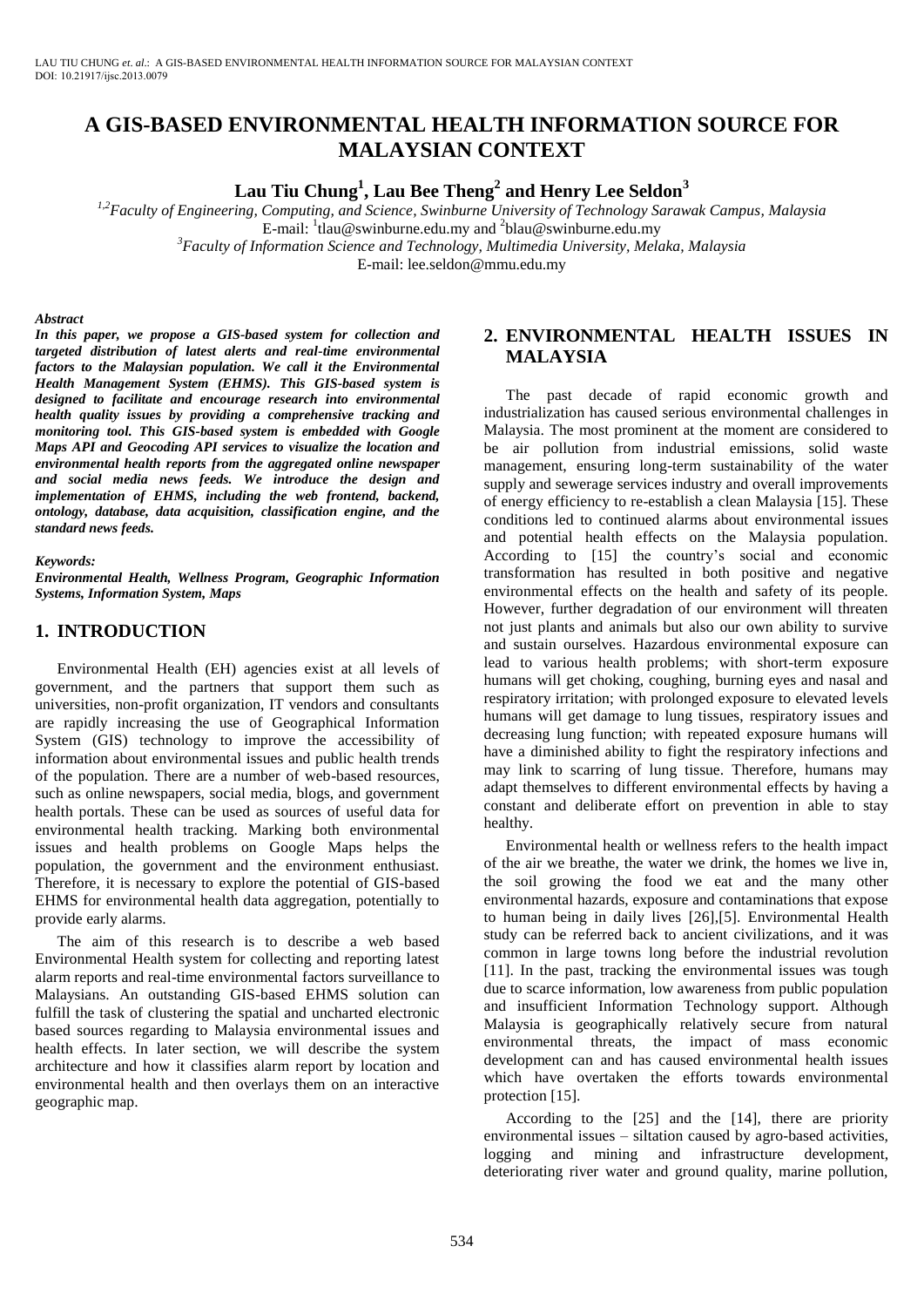# **A GIS-BASED ENVIRONMENTAL HEALTH INFORMATION SOURCE FOR MALAYSIAN CONTEXT**

**Lau Tiu Chung<sup>1</sup> , Lau Bee Theng<sup>2</sup> and Henry Lee Seldon<sup>3</sup>**

*1,2Faculty of Engineering, Computing, and Science, Swinburne University of Technology Sarawak Campus, Malaysia*  E-mail: <sup>1</sup>tlau@swinburne.edu.my and <sup>2</sup>blau@swinburne.edu.my

*<sup>3</sup>Faculty of Information Science and Technology, Multimedia University, Melaka, Malaysia* 

E-mail: lee.seldon@mmu.edu.my

#### *Abstract*

*In this paper, we propose a GIS-based system for collection and targeted distribution of latest alerts and real-time environmental factors to the Malaysian population. We call it the Environmental Health Management System (EHMS). This GIS-based system is designed to facilitate and encourage research into environmental health quality issues by providing a comprehensive tracking and monitoring tool. This GIS-based system is embedded with Google Maps API and Geocoding API services to visualize the location and environmental health reports from the aggregated online newspaper and social media news feeds. We introduce the design and implementation of EHMS, including the web frontend, backend, ontology, database, data acquisition, classification engine, and the standard news feeds.* 

#### *Keywords:*

*Environmental Health, Wellness Program, Geographic Information Systems, Information System, Maps*

#### **1. INTRODUCTION**

Environmental Health (EH) agencies exist at all levels of government, and the partners that support them such as universities, non-profit organization, IT vendors and consultants are rapidly increasing the use of Geographical Information System (GIS) technology to improve the accessibility of information about environmental issues and public health trends of the population. There are a number of web-based resources, such as online newspapers, social media, blogs, and government health portals. These can be used as sources of useful data for environmental health tracking. Marking both environmental issues and health problems on Google Maps helps the population, the government and the environment enthusiast. Therefore, it is necessary to explore the potential of GIS-based EHMS for environmental health data aggregation, potentially to provide early alarms.

The aim of this research is to describe a web based Environmental Health system for collecting and reporting latest alarm reports and real-time environmental factors surveillance to Malaysians. An outstanding GIS-based EHMS solution can fulfill the task of clustering the spatial and uncharted electronic based sources regarding to Malaysia environmental issues and health effects. In later section, we will describe the system architecture and how it classifies alarm report by location and environmental health and then overlays them on an interactive geographic map.

## **2. ENVIRONMENTAL HEALTH ISSUES IN MALAYSIA**

The past decade of rapid economic growth and industrialization has caused serious environmental challenges in Malaysia. The most prominent at the moment are considered to be air pollution from industrial emissions, solid waste management, ensuring long-term sustainability of the water supply and sewerage services industry and overall improvements of energy efficiency to re-establish a clean Malaysia [\[15\].](#page-8-0) These conditions led to continued alarms about environmental issues and potential health effects on the Malaysia population. According to [\[15\]](#page-8-0) the country's social and economic transformation has resulted in both positive and negative environmental effects on the health and safety of its people. However, further degradation of our environment will threaten not just plants and animals but also our own ability to survive and sustain ourselves. Hazardous environmental exposure can lead to various health problems; with short-term exposure humans will get choking, coughing, burning eyes and nasal and respiratory irritation; with prolonged exposure to elevated levels humans will get damage to lung tissues, respiratory issues and decreasing lung function; with repeated exposure humans will have a diminished ability to fight the respiratory infections and may link to scarring of lung tissue. Therefore, humans may adapt themselves to different environmental effects by having a constant and deliberate effort on prevention in able to stay healthy.

Environmental health or wellness refers to the health impact of the air we breathe, the water we drink, the homes we live in, the soil growing the food we eat and the many other environmental hazards, exposure and contaminations that expose to human being in daily lives [\[26\]](#page-8-1)[,\[5\].](#page-8-2) Environmental Health study can be referred back to ancient civilizations, and it was common in large towns long before the industrial revolution [\[11\].](#page-8-3) In the past, tracking the environmental issues was tough due to scarce information, low awareness from public population and insufficient Information Technology support. Although Malaysia is geographically relatively secure from natural environmental threats, the impact of mass economic development can and has caused environmental health issues which have overtaken the efforts towards environmental protection [\[15\].](#page-8-0)

According to the [\[25\]](#page-8-4) and the [\[14\],](#page-8-5) there are priority environmental issues – siltation caused by agro-based activities, logging and mining and infrastructure development, deteriorating river water and ground quality, marine pollution,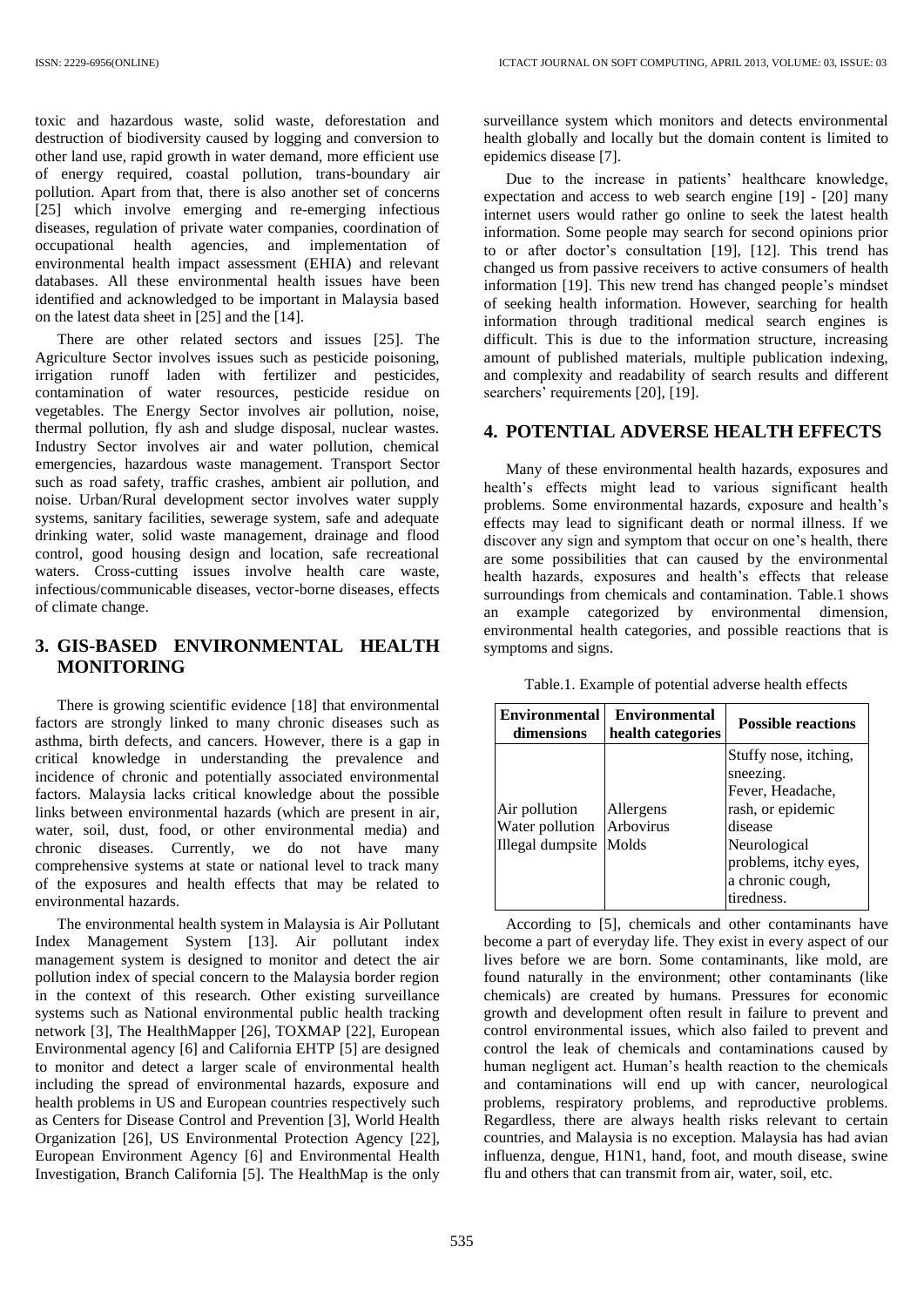toxic and hazardous waste, solid waste, deforestation and destruction of biodiversity caused by logging and conversion to other land use, rapid growth in water demand, more efficient use of energy required, coastal pollution, trans-boundary air pollution. Apart from that, there is also another set of concerns [\[25\]](#page-8-4) which involve emerging and re-emerging infectious diseases, regulation of private water companies, coordination of occupational health agencies, and implementation of occupational health agencies, and implementation environmental health impact assessment (EHIA) and relevant databases. All these environmental health issues have been identified and acknowledged to be important in Malaysia based on the latest data sheet in [\[25\]](#page-8-4) and the [\[14\].](#page-8-5)

There are other related sectors and issues [\[25\].](#page-8-4) The Agriculture Sector involves issues such as pesticide poisoning, irrigation runoff laden with fertilizer and pesticides, contamination of water resources, pesticide residue on vegetables. The Energy Sector involves air pollution, noise, thermal pollution, fly ash and sludge disposal, nuclear wastes. Industry Sector involves air and water pollution, chemical emergencies, hazardous waste management. Transport Sector such as road safety, traffic crashes, ambient air pollution, and noise. Urban/Rural development sector involves water supply systems, sanitary facilities, sewerage system, safe and adequate drinking water, solid waste management, drainage and flood control, good housing design and location, safe recreational waters. Cross-cutting issues involve health care waste, infectious/communicable diseases, vector-borne diseases, effects of climate change.

# **3. GIS-BASED ENVIRONMENTAL HEALTH MONITORING**

There is growing scientific evidence [\[18\]](#page-8-6) that environmental factors are strongly linked to many chronic diseases such as asthma, birth defects, and cancers. However, there is a gap in critical knowledge in understanding the prevalence and incidence of chronic and potentially associated environmental factors. Malaysia lacks critical knowledge about the possible links between environmental hazards (which are present in air, water, soil, dust, food, or other environmental media) and chronic diseases. Currently, we do not have many comprehensive systems at state or national level to track many of the exposures and health effects that may be related to environmental hazards.

The environmental health system in Malaysia is Air Pollutant Index Management System [\[13\].](#page-8-7) Air pollutant index management system is designed to monitor and detect the air pollution index of special concern to the Malaysia border region in the context of this research. Other existing surveillance systems such as National environmental public health tracking network [\[3\],](#page-8-8) The HealthMapper [\[26\],](#page-8-9) TOXMAP [\[22\],](#page-8-10) European Environmental agency [\[6\]](#page-8-11) and California EHTP [\[5\]](#page-8-2) are designed to monitor and detect a larger scale of environmental health including the spread of environmental hazards, exposure and health problems in US and European countries respectively such as Centers for Disease Control and Prevention [\[3\],](#page-8-8) World Health Organization [\[26\],](#page-8-1) US Environmental Protection Agency [\[22\],](#page-8-10) European Environment Agency [\[6\]](#page-8-11) and Environmental Health Investigation, Branch California [\[5\].](#page-8-2) The HealthMap is the only surveillance system which monitors and detects environmental health globally and locally but the domain content is limited to epidemics disease [\[7\].](#page-8-12)

Due to the increase in patients' healthcare knowledge, expectation and access to web search engine [\[19\]](#page-8-13) - [\[20\]](#page-8-14) many internet users would rather go online to seek the latest health information. Some people may search for second opinions prior to or after doctor's consultation [\[19\],](#page-8-13) [\[12\].](#page-8-15) This trend has changed us from passive receivers to active consumers of health information [\[19\].](#page-8-13) This new trend has changed people's mindset of seeking health information. However, searching for health information through traditional medical search engines is difficult. This is due to the information structure, increasing amount of published materials, multiple publication indexing, and complexity and readability of search results and different searchers' requirement[s \[20\],](#page-8-14) [\[19\].](#page-8-13)

#### **4. POTENTIAL ADVERSE HEALTH EFFECTS**

Many of these environmental health hazards, exposures and health's effects might lead to various significant health problems. Some environmental hazards, exposure and health's effects may lead to significant death or normal illness. If we discover any sign and symptom that occur on one's health, there are some possibilities that can caused by the environmental health hazards, exposures and health's effects that release surroundings from chemicals and contamination. Table.1 shows an example categorized by environmental dimension, environmental health categories, and possible reactions that is symptoms and signs.

|  |  | Table.1. Example of potential adverse health effects |  |  |  |
|--|--|------------------------------------------------------|--|--|--|
|--|--|------------------------------------------------------|--|--|--|

| <b>Environmental</b><br>dimensions                   | <b>Environmental</b><br>health categories | <b>Possible reactions</b>                                                                                                                                         |
|------------------------------------------------------|-------------------------------------------|-------------------------------------------------------------------------------------------------------------------------------------------------------------------|
| Air pollution<br>Water pollution<br>Illegal dumpsite | Allergens<br>Arbovirus<br>Molds           | Stuffy nose, itching,<br>sneezing.<br>Fever, Headache,<br>rash, or epidemic<br>disease<br>Neurological<br>problems, itchy eyes,<br>a chronic cough,<br>tiredness. |

According to [\[5\],](#page-8-2) chemicals and other contaminants have become a part of everyday life. They exist in every aspect of our lives before we are born. Some contaminants, like mold, are found naturally in the environment; other contaminants (like chemicals) are created by humans. Pressures for economic growth and development often result in failure to prevent and control environmental issues, which also failed to prevent and control the leak of chemicals and contaminations caused by human negligent act. Human's health reaction to the chemicals and contaminations will end up with cancer, neurological problems, respiratory problems, and reproductive problems. Regardless, there are always health risks relevant to certain countries, and Malaysia is no exception. Malaysia has had avian influenza, dengue, H1N1, hand, foot, and mouth disease, swine flu and others that can transmit from air, water, soil, etc.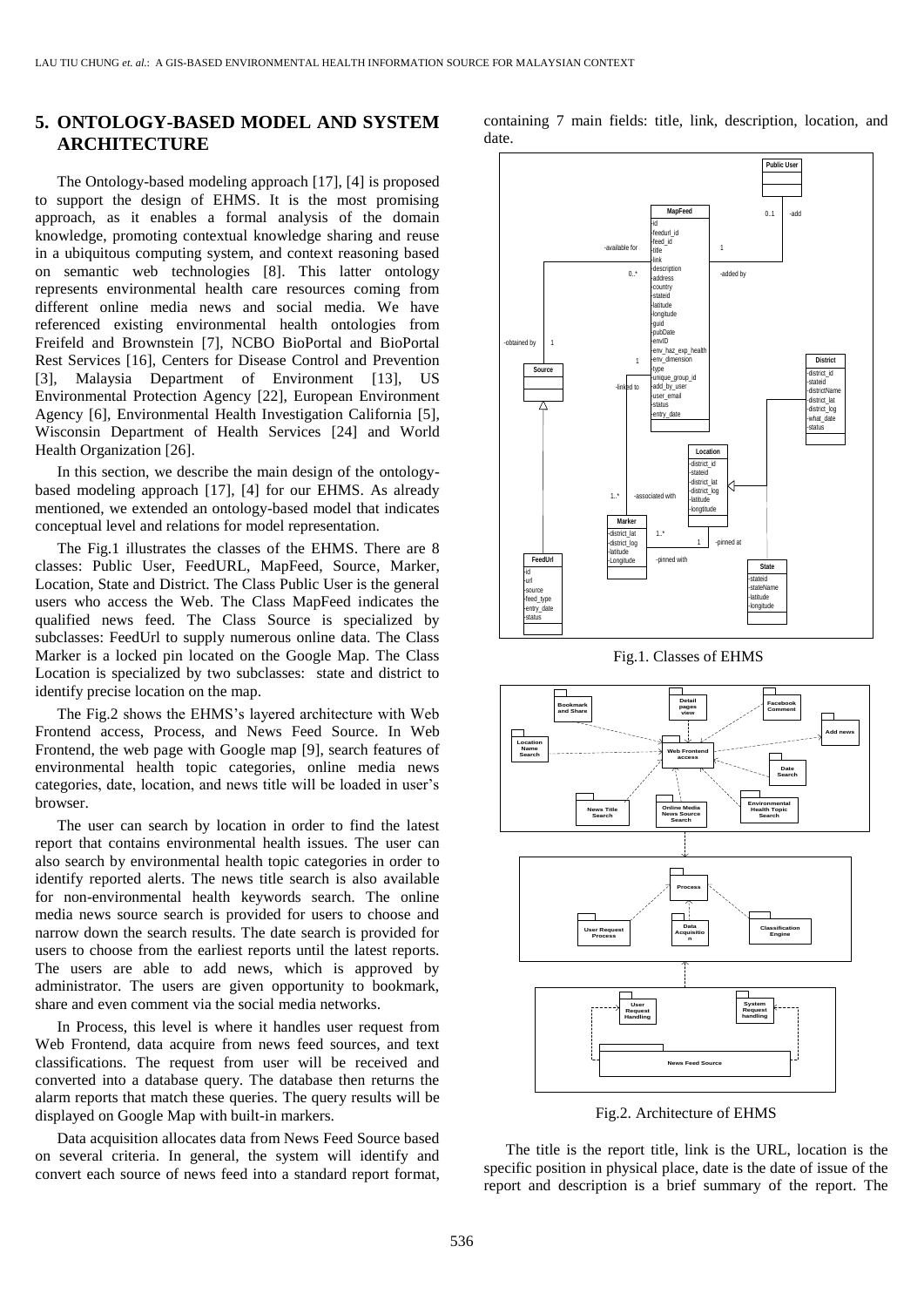### **5. ONTOLOGY-BASED MODEL AND SYSTEM ARCHITECTURE**

The Ontology-based modeling approach [\[17\],](#page-8-16) [\[4\]](#page-8-17) is proposed to support the design of EHMS. It is the most promising approach, as it enables a formal analysis of the domain knowledge, promoting contextual knowledge sharing and reuse in a ubiquitous computing system, and context reasoning based on semantic web technologies [\[8\].](#page-8-18) This latter ontology represents environmental health care resources coming from different online media news and social media. We have referenced existing environmental health ontologies from Freifeld and Brownstein [\[7\],](#page-8-12) NCBO BioPortal and BioPortal Rest Services [\[16\],](#page-8-19) Centers for Disease Control and Prevention [\[3\],](#page-8-8) Malaysia Department of Environment [\[13\],](#page-8-7) US Environmental Protection Agency [\[22\],](#page-8-10) European Environment Agency [\[6\],](#page-8-11) Environmental Health Investigation California [\[5\],](#page-8-2) Wisconsin Department of Health Services [\[24\]](#page-8-20) and World Health Organization [\[26\].](#page-8-9)

In this section, we describe the main design of the ontologybased modeling approach [\[17\],](#page-8-16) [\[4\]](#page-8-17) for our EHMS. As already mentioned, we extended an ontology-based model that indicates conceptual level and relations for model representation.

The Fig.1 illustrates the classes of the EHMS. There are 8 classes: Public User, FeedURL, MapFeed, Source, Marker, Location, State and District. The Class Public User is the general users who access the Web. The Class MapFeed indicates the qualified news feed. The Class Source is specialized by subclasses: FeedUrl to supply numerous online data. The Class Marker is a locked pin located on the Google Map. The Class Location is specialized by two subclasses: state and district to identify precise location on the map.

The Fig.2 shows the EHMS's layered architecture with Web Frontend access, Process, and News Feed Source. In Web Frontend, the web page with Google map [\[9\],](#page-8-21) search features of environmental health topic categories, online media news categories, date, location, and news title will be loaded in user's browser.

The user can search by location in order to find the latest report that contains environmental health issues. The user can also search by environmental health topic categories in order to identify reported alerts. The news title search is also available for non-environmental health keywords search. The online media news source search is provided for users to choose and narrow down the search results. The date search is provided for users to choose from the earliest reports until the latest reports. The users are able to add news, which is approved by administrator. The users are given opportunity to bookmark, share and even comment via the social media networks.

In Process, this level is where it handles user request from Web Frontend, data acquire from news feed sources, and text classifications. The request from user will be received and converted into a database query. The database then returns the alarm reports that match these queries. The query results will be displayed on Google Map with built-in markers.

Data acquisition allocates data from News Feed Source based on several criteria. In general, the system will identify and convert each source of news feed into a standard report format, containing 7 main fields: title, link, description, location, and date.



Fig.1. Classes of EHMS



Fig.2. Architecture of EHMS

The title is the report title, link is the URL, location is the specific position in physical place, date is the date of issue of the report and description is a brief summary of the report. The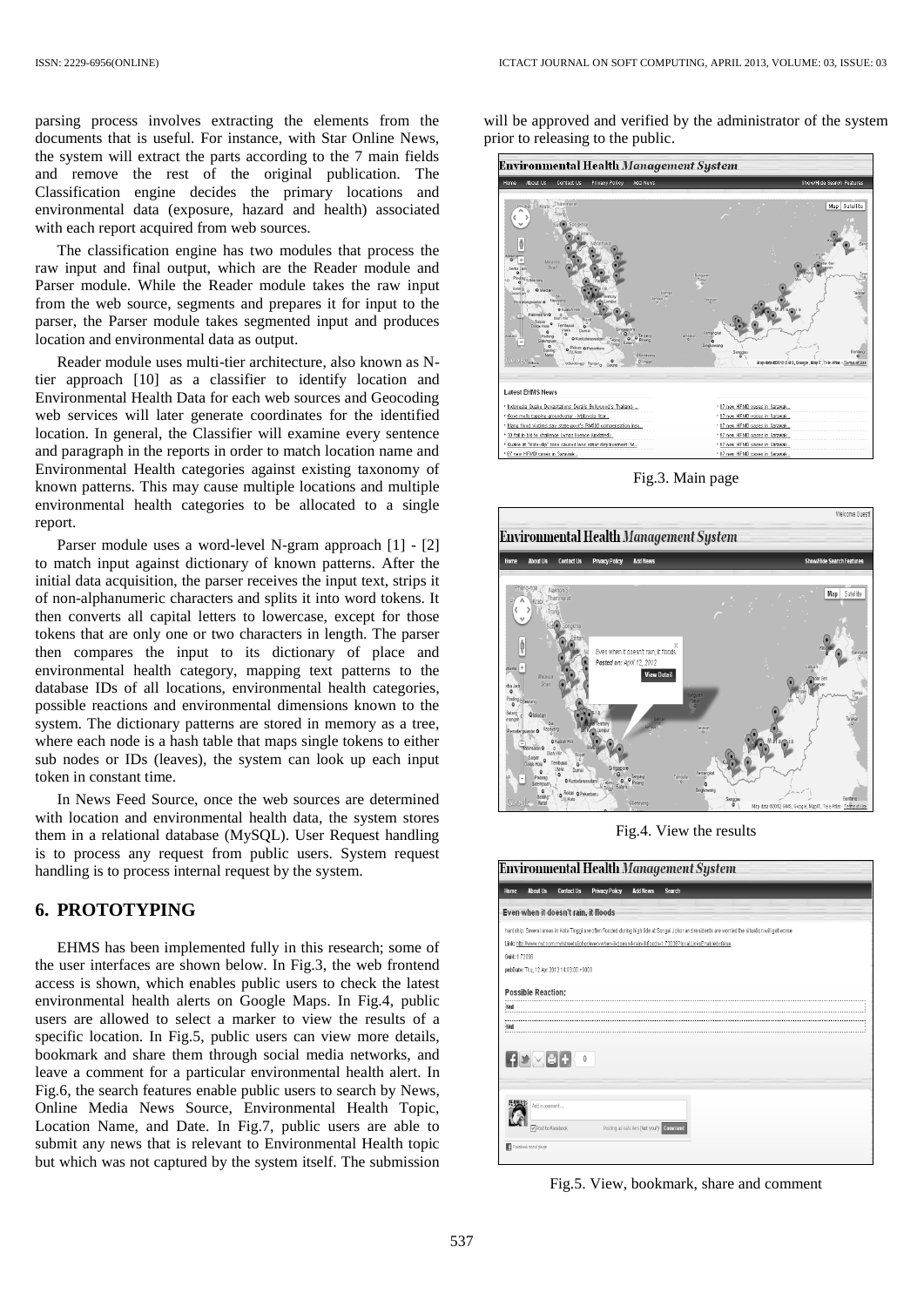parsing process involves extracting the elements from the documents that is useful. For instance, with Star Online News, the system will extract the parts according to the 7 main fields and remove the rest of the original publication. The Classification engine decides the primary locations and environmental data (exposure, hazard and health) associated with each report acquired from web sources.

The classification engine has two modules that process the raw input and final output, which are the Reader module and Parser module. While the Reader module takes the raw input from the web source, segments and prepares it for input to the parser, the Parser module takes segmented input and produces location and environmental data as output.

Reader module uses multi-tier architecture, also known as Ntier approach [\[10\]](#page-8-22) as a classifier to identify location and Environmental Health Data for each web sources and Geocoding web services will later generate coordinates for the identified location. In general, the Classifier will examine every sentence and paragraph in the reports in order to match location name and Environmental Health categories against existing taxonomy of known patterns. This may cause multiple locations and multiple environmental health categories to be allocated to a single report.

Parser module uses a word-level N-gram approach [\[1\]](#page-8-23) - [\[2\]](#page-8-24) to match input against dictionary of known patterns. After the initial data acquisition, the parser receives the input text, strips it of non-alphanumeric characters and splits it into word tokens. It then converts all capital letters to lowercase, except for those tokens that are only one or two characters in length. The parser then compares the input to its dictionary of place and environmental health category, mapping text patterns to the database IDs of all locations, environmental health categories, possible reactions and environmental dimensions known to the system. The dictionary patterns are stored in memory as a tree, where each node is a hash table that maps single tokens to either sub nodes or IDs (leaves), the system can look up each input token in constant time.

In News Feed Source, once the web sources are determined with location and environmental health data, the system stores them in a relational database (MySQL). User Request handling is to process any request from public users. System request handling is to process internal request by the system.

### **6. PROTOTYPING**

EHMS has been implemented fully in this research; some of the user interfaces are shown below. In Fig.3, the web frontend access is shown, which enables public users to check the latest environmental health alerts on Google Maps. In Fig.4, public users are allowed to select a marker to view the results of a specific location. In Fig.5, public users can view more details, bookmark and share them through social media networks, and leave a comment for a particular environmental health alert. In Fig.6, the search features enable public users to search by News, Online Media News Source, Environmental Health Topic, Location Name, and Date. In Fig.7, public users are able to submit any news that is relevant to Environmental Health topic but which was not captured by the system itself. The submission

will be approved and verified by the administrator of the system prior to releasing to the public.



Fig.3. Main page



Fig.4. View the results

|               | <b>About Us</b>           | <b>Contact Us</b>                        | <b>Privacy Policy</b> | <b>Add News</b> | <b>Search</b>                                                                                                                                   |
|---------------|---------------------------|------------------------------------------|-----------------------|-----------------|-------------------------------------------------------------------------------------------------------------------------------------------------|
|               |                           | Even when it doesn't rain, it floods     |                       |                 |                                                                                                                                                 |
|               |                           |                                          |                       |                 | hardship: Several areas in Kota Tinggi are often flooded during high tide at Sungai Johor and residents are womied the situation will get worse |
|               |                           |                                          |                       |                 | Link: http://www.nst.com.mv/streets/iphor/even-when-it-doesn-t-rain-it-floods-1.73036?localLinksEnabled=false                                   |
| Guid: 1 73036 |                           |                                          |                       |                 |                                                                                                                                                 |
|               |                           | pubDate: Thu, 12 Apr 2012 14:03:00 +0000 |                       |                 |                                                                                                                                                 |
|               | <b>Possible Reaction:</b> |                                          |                       |                 |                                                                                                                                                 |
| -Null         |                           |                                          |                       |                 |                                                                                                                                                 |
|               |                           |                                          |                       |                 |                                                                                                                                                 |
| -Null         |                           |                                          |                       |                 |                                                                                                                                                 |
|               |                           |                                          |                       |                 |                                                                                                                                                 |
|               | {}∀⊠B {                   | $\langle 0$                              |                       |                 |                                                                                                                                                 |
|               |                           |                                          |                       |                 |                                                                                                                                                 |
|               |                           |                                          |                       |                 |                                                                                                                                                 |
|               |                           |                                          |                       |                 |                                                                                                                                                 |
|               |                           |                                          |                       |                 |                                                                                                                                                 |
|               | Add a comment             |                                          |                       |                 |                                                                                                                                                 |

Fig.5. View, bookmark, share and comment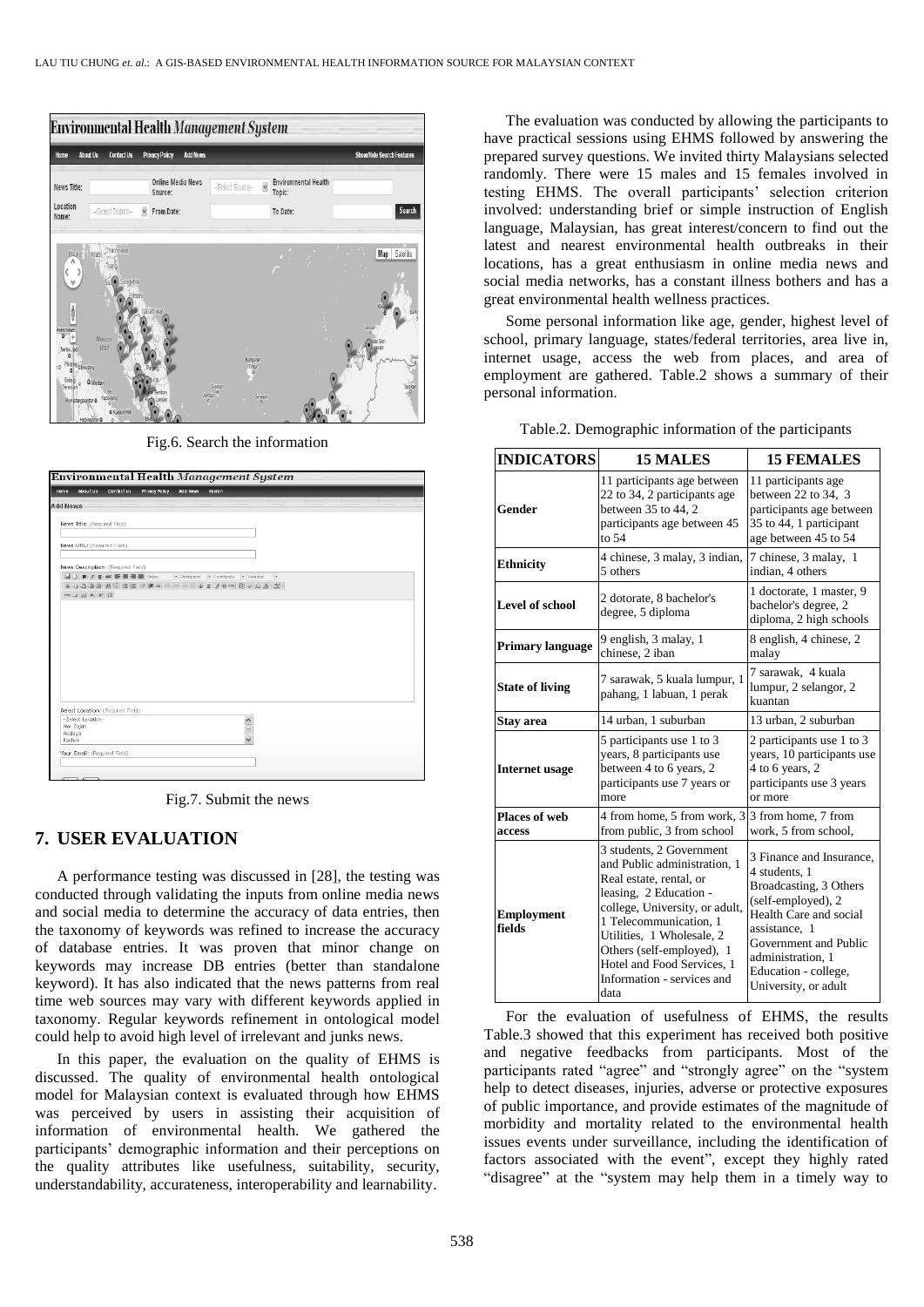

Fig.6. Search the information

| <b>Home</b>     | About Us                            | Contact Us                         | <b>Privacy Policy</b> | <b>Add News</b> | Search                                                            |               |  |  |
|-----------------|-------------------------------------|------------------------------------|-----------------------|-----------------|-------------------------------------------------------------------|---------------|--|--|
| <b>Add News</b> |                                     |                                    |                       |                 |                                                                   |               |  |  |
|                 | News Title: (Required Field)        |                                    |                       |                 |                                                                   |               |  |  |
|                 |                                     |                                    |                       |                 |                                                                   |               |  |  |
|                 | News URL: (Required Field)          |                                    |                       |                 |                                                                   |               |  |  |
|                 |                                     |                                    |                       |                 |                                                                   |               |  |  |
|                 |                                     | News Description: (Required Field) |                       |                 |                                                                   |               |  |  |
|                 |                                     |                                    |                       |                 | M D B J U MK B B B M M Stes - Paragraph - Fontfamily - Fontsize - |               |  |  |
|                 |                                     |                                    |                       |                 | X4558844 日日主席4 つ 2 2 3 4 9 4 5 0 4 4 2                            |               |  |  |
|                 | $-2$ $\mathbb{R} \times x$ $\Omega$ |                                    |                       |                 |                                                                   |               |  |  |
|                 |                                     |                                    |                       |                 |                                                                   |               |  |  |
|                 |                                     |                                    |                       |                 |                                                                   |               |  |  |
|                 |                                     |                                    |                       |                 |                                                                   |               |  |  |
|                 |                                     |                                    |                       |                 |                                                                   |               |  |  |
|                 |                                     |                                    |                       |                 |                                                                   |               |  |  |
|                 |                                     |                                    |                       |                 |                                                                   |               |  |  |
|                 |                                     |                                    |                       |                 |                                                                   |               |  |  |
|                 |                                     |                                    |                       |                 |                                                                   |               |  |  |
|                 |                                     |                                    |                       |                 |                                                                   |               |  |  |
|                 |                                     |                                    |                       |                 |                                                                   |               |  |  |
|                 |                                     |                                    |                       |                 |                                                                   |               |  |  |
|                 |                                     |                                    |                       |                 |                                                                   |               |  |  |
|                 |                                     |                                    |                       |                 |                                                                   |               |  |  |
|                 |                                     |                                    |                       |                 |                                                                   |               |  |  |
|                 |                                     |                                    |                       |                 |                                                                   |               |  |  |
|                 |                                     |                                    |                       |                 |                                                                   |               |  |  |
|                 |                                     | Select Location: (Required Field)  |                       |                 |                                                                   |               |  |  |
|                 | -- Select Location--                |                                    |                       |                 |                                                                   |               |  |  |
|                 | Alor Gajah                          |                                    |                       |                 |                                                                   | $\frac{1}{2}$ |  |  |
| Азајауа         |                                     |                                    |                       |                 |                                                                   |               |  |  |
| Bachok          |                                     |                                    |                       |                 |                                                                   |               |  |  |
|                 |                                     |                                    |                       |                 |                                                                   |               |  |  |
|                 |                                     |                                    |                       |                 |                                                                   |               |  |  |
|                 |                                     | Your Email: (Required Field)       |                       |                 |                                                                   |               |  |  |

Fig.7. Submit the news

#### **7. USER EVALUATION**

A performance testing was discussed in [\[28\],](#page-9-0) the testing was conducted through validating the inputs from online media news and social media to determine the accuracy of data entries, then the taxonomy of keywords was refined to increase the accuracy of database entries. It was proven that minor change on keywords may increase DB entries (better than standalone keyword). It has also indicated that the news patterns from real time web sources may vary with different keywords applied in taxonomy. Regular keywords refinement in ontological model could help to avoid high level of irrelevant and junks news.

In this paper, the evaluation on the quality of EHMS is discussed. The quality of environmental health ontological model for Malaysian context is evaluated through how EHMS was perceived by users in assisting their acquisition of information of environmental health. We gathered the participants' demographic information and their perceptions on the quality attributes like usefulness, suitability, security, understandability, accurateness, interoperability and learnability.

The evaluation was conducted by allowing the participants to have practical sessions using EHMS followed by answering the prepared survey questions. We invited thirty Malaysians selected randomly. There were 15 males and 15 females involved in testing EHMS. The overall participants' selection criterion involved: understanding brief or simple instruction of English language, Malaysian, has great interest/concern to find out the latest and nearest environmental health outbreaks in their locations, has a great enthusiasm in online media news and social media networks, has a constant illness bothers and has a great environmental health wellness practices.

Some personal information like age, gender, highest level of school, primary language, states/federal territories, area live in, internet usage, access the web from places, and area of employment are gathered. Table.2 shows a summary of their personal information.

| <b>INDICATORS</b>           | <b>15 MALES</b>                                                                                                                                                                                                                                                                                         | <b>15 FEMALES</b>                                                                                                                                                                                                                  |  |  |  |
|-----------------------------|---------------------------------------------------------------------------------------------------------------------------------------------------------------------------------------------------------------------------------------------------------------------------------------------------------|------------------------------------------------------------------------------------------------------------------------------------------------------------------------------------------------------------------------------------|--|--|--|
| Gender                      | 11 participants age between<br>22 to 34, 2 participants age<br>between 35 to 44, 2<br>participants age between 45<br>to $54$                                                                                                                                                                            | 11 participants age<br>between $22$ to $34, 3$<br>participants age between<br>35 to 44, 1 participant<br>age between 45 to 54                                                                                                      |  |  |  |
| <b>Ethnicity</b>            | 4 chinese, 3 malay, 3 indian,<br>5 others                                                                                                                                                                                                                                                               | 7 chinese, 3 malay, 1<br>indian, 4 others                                                                                                                                                                                          |  |  |  |
| <b>Level of school</b>      | 2 dotorate, 8 bachelor's<br>degree, 5 diploma                                                                                                                                                                                                                                                           | 1 doctorate, 1 master, 9<br>bachelor's degree, 2<br>diploma, 2 high schools                                                                                                                                                        |  |  |  |
| Primary language            | 9 english, 3 malay, 1<br>chinese, 2 iban                                                                                                                                                                                                                                                                |                                                                                                                                                                                                                                    |  |  |  |
| <b>State of living</b>      | 7 sarawak, 5 kuala lumpur, 1<br>pahang, 1 labuan, 1 perak                                                                                                                                                                                                                                               | 7 sarawak, 4 kuala<br>lumpur, 2 selangor, 2<br>kuantan                                                                                                                                                                             |  |  |  |
| Stay area                   | 14 urban, 1 suburban                                                                                                                                                                                                                                                                                    | 13 urban, 2 suburban                                                                                                                                                                                                               |  |  |  |
| <b>Internet</b> usage       | 5 participants use 1 to 3<br>years, 8 participants use<br>between 4 to 6 years, 2<br>participants use 7 years or<br>more                                                                                                                                                                                | 2 participants use 1 to 3<br>years, 10 participants use<br>4 to 6 years, 2<br>participants use 3 years<br>or more                                                                                                                  |  |  |  |
| Places of web<br>access     | 4 from home, 5 from work, 3<br>from public, 3 from school                                                                                                                                                                                                                                               | 3 from home, 7 from<br>work, 5 from school,                                                                                                                                                                                        |  |  |  |
| <b>Employment</b><br>fields | 3 students, 2 Government<br>and Public administration, 1<br>Real estate, rental, or<br>leasing, 2 Education -<br>college, University, or adult,<br>1 Telecommunication, 1<br>Utilities, 1 Wholesale, 2<br>Others (self-employed), 1<br>Hotel and Food Services, 1<br>Information - services and<br>data | 3 Finance and Insurance,<br>4 students, 1<br>Broadcasting, 3 Others<br>(self-employed), 2<br>Health Care and social<br>assistance, 1<br>Government and Public<br>administration. 1<br>Education - college,<br>University, or adult |  |  |  |

Table.2. Demographic information of the participants

For the evaluation of usefulness of EHMS, the results Table.3 showed that this experiment has received both positive and negative feedbacks from participants. Most of the participants rated "agree" and "strongly agree" on the "system help to detect diseases, injuries, adverse or protective exposures of public importance, and provide estimates of the magnitude of morbidity and mortality related to the environmental health issues events under surveillance, including the identification of factors associated with the event", except they highly rated "disagree" at the "system may help them in a timely way to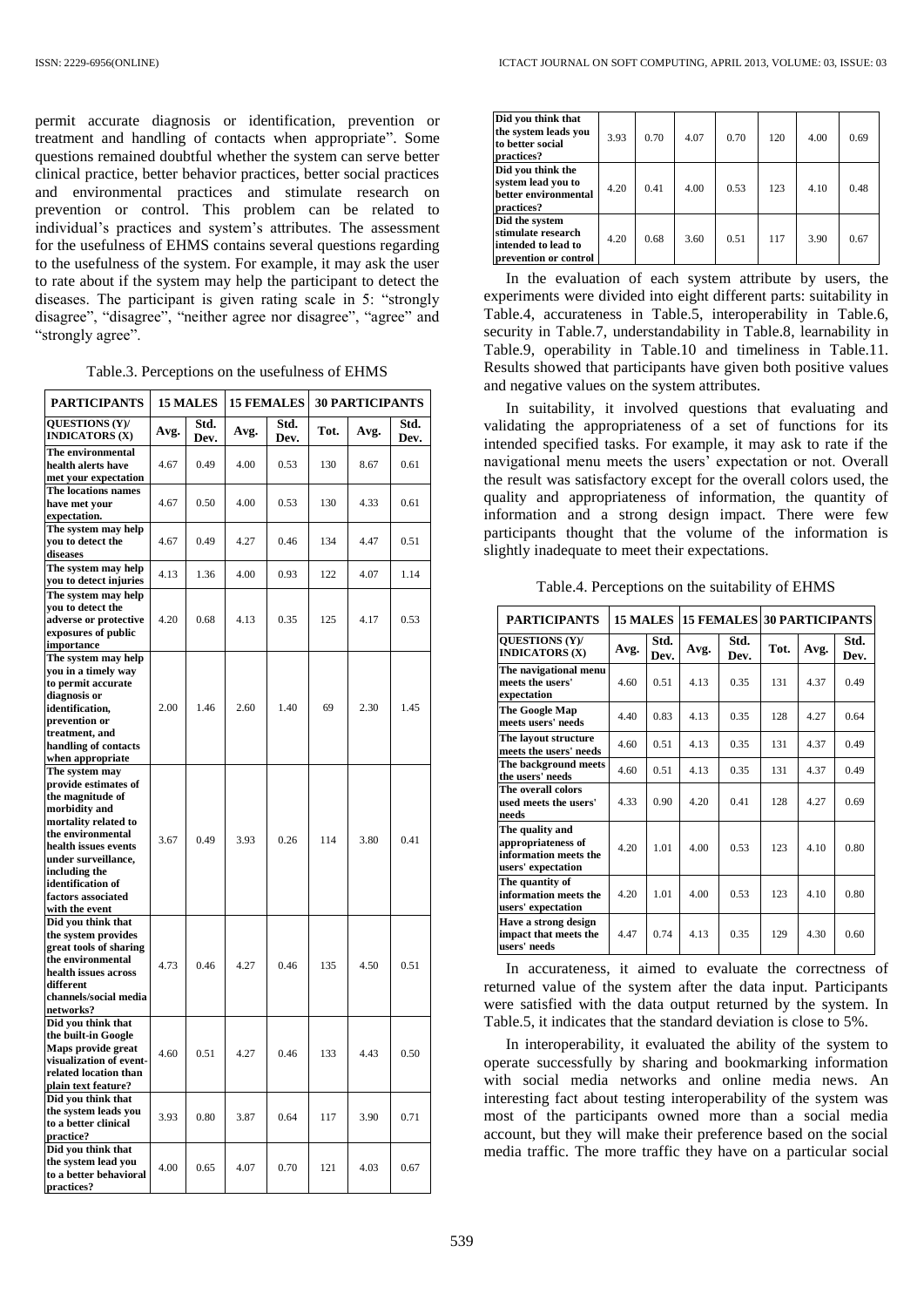permit accurate diagnosis or identification, prevention or treatment and handling of contacts when appropriate". Some questions remained doubtful whether the system can serve better clinical practice, better behavior practices, better social practices and environmental practices and stimulate research on prevention or control. This problem can be related to individual's practices and system's attributes. The assessment for the usefulness of EHMS contains several questions regarding to the usefulness of the system. For example, it may ask the user to rate about if the system may help the participant to detect the diseases. The participant is given rating scale in 5: "strongly disagree", "disagree", "neither agree nor disagree", "agree" and "strongly agree".

Table.3. Perceptions on the usefulness of EHMS

| <b>PARTICIPANTS</b>                                                                                                                                                                                                                                   | <b>15 MALES</b> |              |      | <b>15 FEMALES</b> |      | <b>30 PARTICIPANTS</b> |              |
|-------------------------------------------------------------------------------------------------------------------------------------------------------------------------------------------------------------------------------------------------------|-----------------|--------------|------|-------------------|------|------------------------|--------------|
| <b>OUESTIONS (Y)/</b><br><b>INDICATORS (X)</b>                                                                                                                                                                                                        | Avg.            | Std.<br>Dev. | Avg. | Std.<br>Dev.      | Tot. | Avg.                   | Std.<br>Dev. |
| The environmental<br>health alerts have<br>met your expectation                                                                                                                                                                                       | 4.67            | 0.49         | 4.00 | 0.53              | 130  | 8.67                   | 0.61         |
| The locations names<br>have met vour<br>expectation.                                                                                                                                                                                                  | 4.67            | 0.50         | 4.00 | 0.53              | 130  | 4.33                   | 0.61         |
| The system may help<br>you to detect the<br>diseases                                                                                                                                                                                                  | 4.67            | 0.49         | 4.27 | 0.46              | 134  | 4.47                   | 0.51         |
| The system may help<br>you to detect injuries                                                                                                                                                                                                         | 4.13            | 1.36         | 4.00 | 0.93              | 122  | 4.07                   | 1.14         |
| The system may help<br>you to detect the<br>adverse or protective<br>exposures of public<br>importance                                                                                                                                                | 4.20            | 0.68         | 4.13 | 0.35              | 125  | 4.17                   | 0.53         |
| The system may help<br>you in a timely way<br>to permit accurate<br>diagnosis or<br>identification,<br>prevention or<br>treatment, and<br>handling of contacts<br>when appropriate                                                                    | 2.00            | 1.46         | 2.60 | 1.40              | 69   | 2.30                   | 1.45         |
| The system may<br>provide estimates of<br>the magnitude of<br>morbidity and<br>mortality related to<br>the environmental<br>health issues events<br>under surveillance,<br>including the<br>identification of<br>factors associated<br>with the event | 3.67            | 0.49         | 3.93 | 0.26              | 114  | 3.80                   | 0.41         |
| Did you think that<br>the system provides<br>great tools of sharing<br>the environmental<br>health issues across<br>different<br>channels/social media<br>networks?                                                                                   | 4.73            | 0.46         | 4.27 | 0.46              | 135  | 4.50                   | 0.51         |
| Did you think that<br>the built-in Google<br>Maps provide great<br>visualization of event-<br>related location than<br>plain text feature?                                                                                                            | 4.60            | 0.51         | 4.27 | 0.46              | 133  | 4.43                   | 0.50         |
| Did you think that<br>the system leads you<br>to a better clinical<br>practice?                                                                                                                                                                       | 3.93            | 0.80         | 3.87 | 0.64              | 117  | 3.90                   | 0.71         |
| Did you think that<br>the system lead you<br>to a better behavioral<br>practices?                                                                                                                                                                     | 4.00            | 0.65         | 4.07 | 0.70              | 121  | 4.03                   | 0.67         |

| Did you think that<br>the system leads you<br>to better social<br>practices?         | 3.93 | 0.70 | 4.07 | 0.70 | 120 | 4.00 | 0.69 |
|--------------------------------------------------------------------------------------|------|------|------|------|-----|------|------|
| Did you think the<br>system lead you to<br>better environmental<br>practices?        | 4.20 | 0.41 | 4.00 | 0.53 | 123 | 4.10 | 0.48 |
| Did the system<br>stimulate research<br>intended to lead to<br>prevention or control | 4.20 | 0.68 | 3.60 | 0.51 | 117 | 3.90 | 0.67 |

In the evaluation of each system attribute by users, the experiments were divided into eight different parts: suitability in Table.4, accurateness in Table.5, interoperability in Table.6, security in Table.7, understandability in Table.8, learnability in Table.9, operability in Table.10 and timeliness in Table.11. Results showed that participants have given both positive values and negative values on the system attributes.

In suitability, it involved questions that evaluating and validating the appropriateness of a set of functions for its intended specified tasks. For example, it may ask to rate if the navigational menu meets the users' expectation or not. Overall the result was satisfactory except for the overall colors used, the quality and appropriateness of information, the quantity of information and a strong design impact. There were few participants thought that the volume of the information is slightly inadequate to meet their expectations.

Table.4. Perceptions on the suitability of EHMS

| <b>PARTICIPANTS</b>                                                                  |      | 15 MALES     |      |              | <b>15 FEMALES 30 PARTICIPANTS</b> |       |              |
|--------------------------------------------------------------------------------------|------|--------------|------|--------------|-----------------------------------|-------|--------------|
| <b>OUESTIONS (Y)/</b><br><b>INDICATORS (X)</b>                                       | Avg. | Std.<br>Dev. | Avg. | Std.<br>Dev. | Tot.                              | Avg.  | Std.<br>Dev. |
| The navigational menu<br>meets the users'<br>expectation                             | 4.60 | 0.51         | 4.13 | 0.35         | 131                               | 4.37  | 0.49         |
| The Google Map<br>meets users' needs                                                 | 4.40 | 0.83         | 4.13 | 0.35         | 128                               | 4.27  | 0.64         |
| The layout structure<br>meets the users' needs                                       | 4.60 | 0.51         | 4.13 | 0.35         | 131                               | 4.37  | 0.49         |
| The background meets<br>the users' needs                                             | 4.60 | 0.51         | 4.13 | 0.35         | 131                               | 4.37  | 0.49         |
| The overall colors<br>used meets the users'<br>needs                                 | 4.33 | 0.90         | 4.20 | 0.41         | 128                               | 4.27  | 0.69         |
| The quality and<br>appropriateness of<br>information meets the<br>users' expectation | 4.20 | 1.01         | 4.00 | 0.53         | 123                               | 4 1 0 | 0.80         |
| The quantity of<br>information meets the<br>users' expectation                       | 4.20 | 1.01         | 4.00 | 0.53         | 123                               | 4.10  | 0.80         |
| Have a strong design<br>impact that meets the<br>users' needs                        | 4.47 | 0.74         | 4.13 | 0.35         | 129                               | 4.30  | 0.60         |

In accurateness, it aimed to evaluate the correctness of returned value of the system after the data input. Participants were satisfied with the data output returned by the system. In Table.5, it indicates that the standard deviation is close to 5%.

In interoperability, it evaluated the ability of the system to operate successfully by sharing and bookmarking information with social media networks and online media news. An interesting fact about testing interoperability of the system was most of the participants owned more than a social media account, but they will make their preference based on the social media traffic. The more traffic they have on a particular social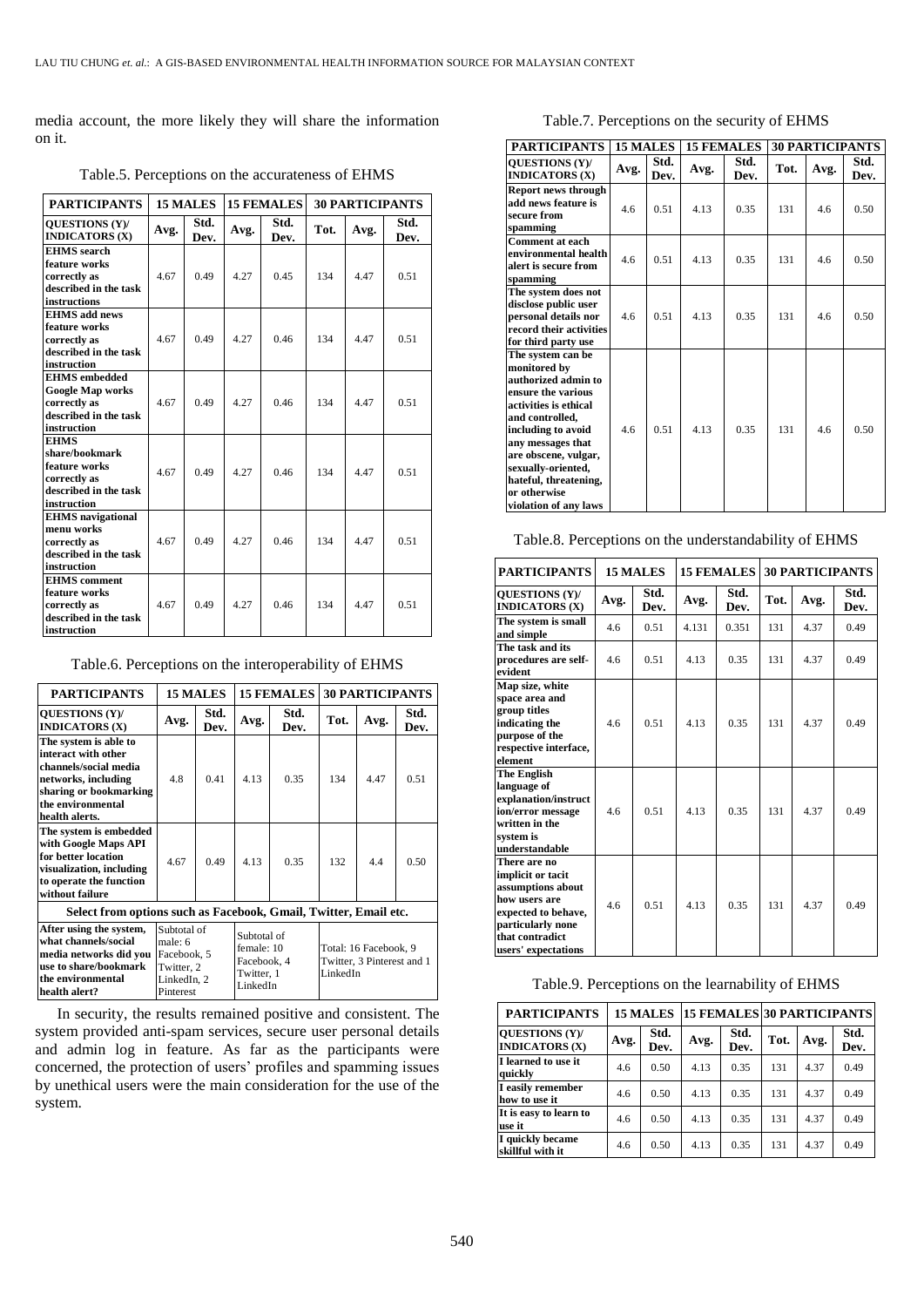media account, the more likely they will share the information on it.

Table.5. Perceptions on the accurateness of EHMS

| <b>PARTICIPANTS</b>                                                                                     | 15 MALES |              |      | <b>15 FEMALES</b> | <b>30 PARTICIPANTS</b> |      |              |
|---------------------------------------------------------------------------------------------------------|----------|--------------|------|-------------------|------------------------|------|--------------|
| <b>OUESTIONS (Y)/</b><br><b>INDICATORS (X)</b>                                                          | Avg.     | Std.<br>Dev. | Avg. | Std.<br>Dev.      | Tot.                   | Avg. | Std.<br>Dev. |
| <b>EHMS</b> search<br>feature works<br>correctly as<br>described in the task<br>instructions            | 4.67     | 0.49         | 4.27 | 0.45              | 134                    | 447  | 0.51         |
| <b>EHMS</b> add news<br>feature works<br>correctly as<br>described in the task<br>instruction           | 4.67     | 0.49         | 4.27 | 0.46              | 134                    | 4.47 | 0.51         |
| <b>EHMS</b> embedded<br><b>Google Map works</b><br>correctly as<br>described in the task<br>instruction | 4.67     | 0.49         | 4.27 | 0.46              | 134                    | 447  | 0.51         |
| <b>EHMS</b><br>share/bookmark<br>feature works<br>correctly as<br>described in the task<br>instruction  | 4.67     | 0.49         | 4.27 | 0.46              | 134                    | 447  | 0.51         |
| <b>EHMS</b> navigational<br>menu works<br>correctly as<br>described in the task<br>instruction          | 4.67     | 0.49         | 4.27 | 0.46              | 134                    | 4.47 | 0.51         |
| <b>EHMS</b> comment<br>feature works<br>correctly as<br>described in the task<br>instruction            | 4.67     | 0.49         | 4.27 | 0.46              | 134                    | 4.47 | 0.51         |

Table.6. Perceptions on the interoperability of EHMS

| <b>PARTICIPANTS</b>                                                                                                                                           |                                                                                 | 15 MALES     |                                                                    | <b>15 FEMALES</b> | <b>30 PARTICIPANTS</b>                                          |      |              |
|---------------------------------------------------------------------------------------------------------------------------------------------------------------|---------------------------------------------------------------------------------|--------------|--------------------------------------------------------------------|-------------------|-----------------------------------------------------------------|------|--------------|
| <b>OUESTIONS (Y)/</b><br><b>INDICATORS (X)</b>                                                                                                                | Avg.                                                                            | Std.<br>Dev. | Avg.                                                               | Std.<br>Dev.      | Tot.                                                            | Avg. | Std.<br>Dev. |
| The system is able to<br>interact with other<br>channels/social media<br>networks, including<br>sharing or bookmarking<br>the environmental<br>health alerts. | 4.8                                                                             | 041          | 4.13                                                               | 0.35              | 134                                                             | 447  | 0.51         |
| The system is embedded<br>with Google Maps API<br>for better location<br>visualization, including<br>to operate the function<br>without failure               | 4.67                                                                            | 0.49         | 4.13                                                               | 0.35              | 132                                                             | 4.4  | 0.50         |
| Select from options such as Facebook, Gmail, Twitter, Email etc.                                                                                              |                                                                                 |              |                                                                    |                   |                                                                 |      |              |
| After using the system,<br>what channels/social<br>media networks did you<br>use to share/bookmark<br>the environmental<br>health alert?                      | Subtotal of<br>male: 6<br>Facebook, 5<br>Twitter, 2<br>LinkedIn, 2<br>Pinterest |              | Subtotal of<br>female: 10<br>Facebook, 4<br>Twitter, 1<br>LinkedIn |                   | Total: 16 Facebook, 9<br>Twitter, 3 Pinterest and 1<br>LinkedIn |      |              |

In security, the results remained positive and consistent. The system provided anti-spam services, secure user personal details and admin log in feature. As far as the participants were concerned, the protection of users' profiles and spamming issues by unethical users were the main consideration for the use of the system.

| Table.7. Perceptions on the security of EHMS |  |  |  |
|----------------------------------------------|--|--|--|
|----------------------------------------------|--|--|--|

| <b>PARTICIPANTS</b>                                                                                                                                                                                                                                                                   | <b>15 MALES</b> |              |       | <b>15 FEMALES</b> |      |      | <b>30 PARTICIPANTS</b> |
|---------------------------------------------------------------------------------------------------------------------------------------------------------------------------------------------------------------------------------------------------------------------------------------|-----------------|--------------|-------|-------------------|------|------|------------------------|
| <b>OUESTIONS (Y)/</b><br><b>INDICATORS (X)</b>                                                                                                                                                                                                                                        | Avg.            | Std.<br>Dev. | Avg.  | Std.<br>Dev.      | Tot. | Avg. | Std.<br>Dev.           |
| <b>Report news through</b><br>add news feature is<br>secure from<br>spamming                                                                                                                                                                                                          | 4.6             | 0.51         | 4.13  | 0.35              | 131  | 4.6  | 0.50                   |
| <b>Comment at each</b><br>environmental health<br>alert is secure from<br>spamming                                                                                                                                                                                                    | 4.6             | 0.51         | 4.13  | 0.35              | 131  | 4.6  | 0.50                   |
| The system does not<br>disclose public user<br>personal details nor<br>record their activities<br>for third party use                                                                                                                                                                 | 4.6             | 0.51         | 4.13  | 0.35              | 131  | 46   | 0.50                   |
| The system can be<br>monitored by<br>authorized admin to<br>ensure the various<br>activities is ethical<br>and controlled,<br>including to avoid<br>any messages that<br>are obscene, vulgar,<br>sexually-oriented,<br>hateful, threatening,<br>or otherwise<br>violation of any laws | 46              | 0.51         | 4 1 3 | 0.35              | 131  | 46   | 0.50                   |

Table.8. Perceptions on the understandability of EHMS

| <b>PARTICIPANTS</b>                                                                                                                                           | 15 MALES |              |       | <b>15 FEMALES</b> | <b>30 PARTICIPANTS</b> |      |              |
|---------------------------------------------------------------------------------------------------------------------------------------------------------------|----------|--------------|-------|-------------------|------------------------|------|--------------|
| <b>OUESTIONS (Y)/</b><br><b>INDICATORS (X)</b>                                                                                                                | Avg.     | Std.<br>Dev. | Avg.  | Std.<br>Dev.      | Tot.                   | Avg. | Std.<br>Dev. |
| The system is small<br>and simple                                                                                                                             | 4.6      | 0.51         | 4.131 | 0.351             | 131                    | 4.37 | 0.49         |
| The task and its<br>procedures are self-<br>evident                                                                                                           | 4.6      | 0.51         | 4.13  | 0.35              | 131                    | 4.37 | 0.49         |
| Map size, white<br>space area and<br>group titles<br>indicating the<br>purpose of the<br>respective interface,<br>element                                     | 4.6      | 0.51         | 4.13  | 0.35              | 131                    | 4.37 | 0.49         |
| The English<br>language of<br>explanation/instruct<br>ion/error message<br>written in the<br>system is<br>understandable                                      | 46       | 0.51         | 4 1 3 | 0.35              | 131                    | 437  | 0.49         |
| There are no<br>implicit or tacit<br>assumptions about<br>how users are<br>expected to behave,<br>particularly none<br>that contradict<br>users' expectations | 4.6      | 0.51         | 4.13  | 0.35              | 131                    | 4.37 | 0.49         |

| Table.9. Perceptions on the learnability of EHMS |  |  |  |
|--------------------------------------------------|--|--|--|
|--------------------------------------------------|--|--|--|

| <b>PARTICIPANTS</b>                            | <b>15 MALES</b> |              |      |              | <b>15 FEMALES 30 PARTICIPANTS</b> |      |              |
|------------------------------------------------|-----------------|--------------|------|--------------|-----------------------------------|------|--------------|
| <b>OUESTIONS (Y)/</b><br><b>INDICATORS (X)</b> | Avg.            | Std.<br>Dev. | Avg. | Std.<br>Dev. | Tot.                              | Avg. | Std.<br>Dev. |
| I learned to use it<br>quickly                 | 4.6             | 0.50         | 4.13 | 0.35         | 131                               | 4.37 | 0.49         |
| I easily remember<br>how to use it             | 4.6             | 0.50         | 4.13 | 0.35         | 131                               | 4.37 | 0.49         |
| It is easy to learn to<br>use it               | 4.6             | 0.50         | 4.13 | 0.35         | 131                               | 4.37 | 0.49         |
| I quickly became<br>skillful with it           | 4.6             | 0.50         | 4.13 | 0.35         | 131                               | 4.37 | 0.49         |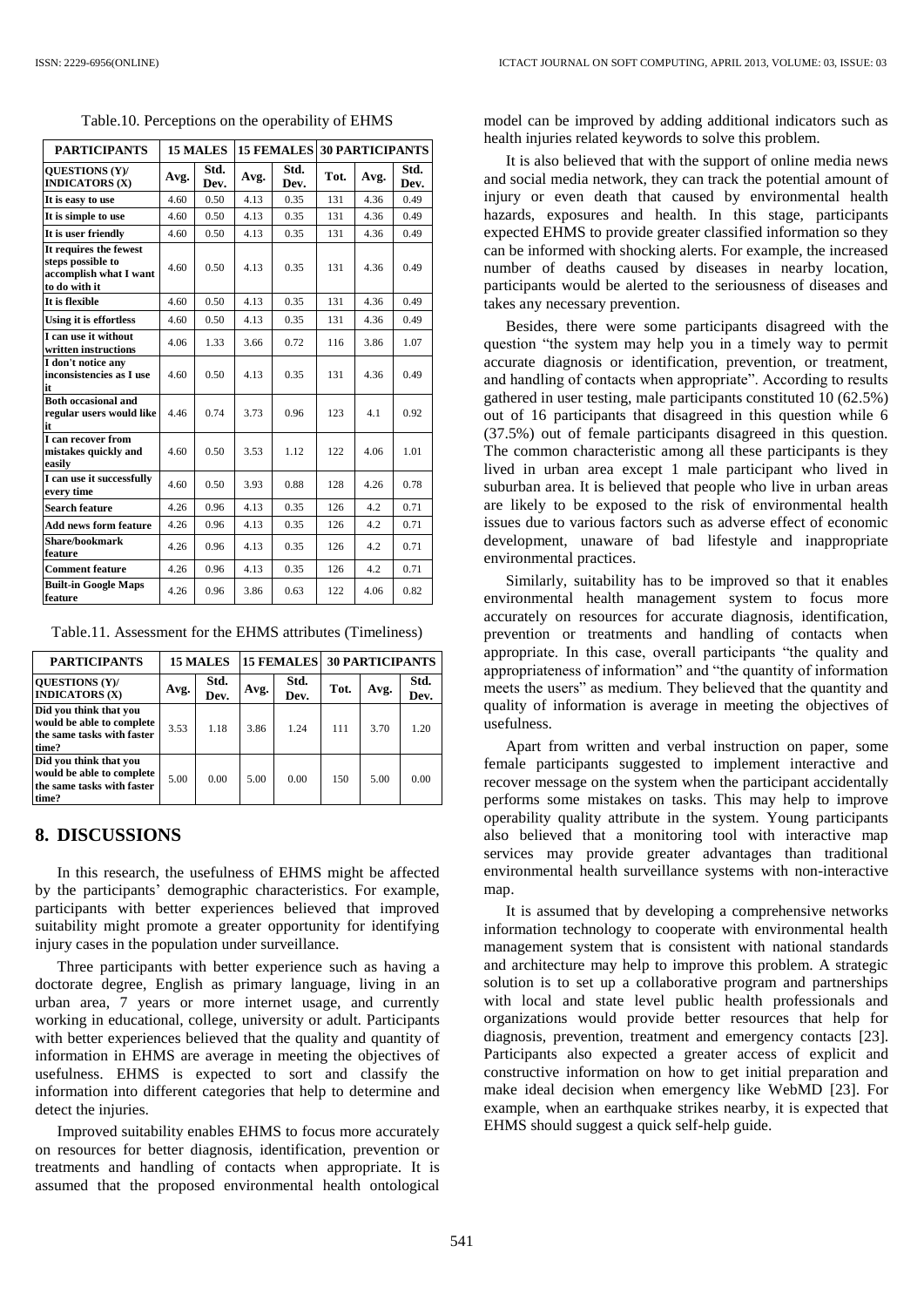Table.10. Perceptions on the operability of EHMS

| <b>PARTICIPANTS</b>                                                                    |      | <b>15 MALES</b> | <b>15 FEMALES</b> |              | <b>30 PARTICIPANTS</b> |      |              |
|----------------------------------------------------------------------------------------|------|-----------------|-------------------|--------------|------------------------|------|--------------|
| <b>QUESTIONS (Y)/</b><br><b>INDICATORS (X)</b>                                         | Avg. | Std.<br>Dev.    | Avg.              | Std.<br>Dev. | Tot.                   | Avg. | Std.<br>Dev. |
| It is easy to use                                                                      | 4.60 | 0.50            | 4.13              | 0.35         | 131                    | 4.36 | 0.49         |
| It is simple to use                                                                    | 4.60 | 0.50            | 4.13              | 0.35         | 131                    | 4.36 | 0.49         |
| It is user friendly                                                                    | 4.60 | 0.50            | 4.13              | 0.35         | 131                    | 4.36 | 0.49         |
| It requires the fewest<br>steps possible to<br>accomplish what I want<br>to do with it | 4.60 | 0.50            | 4.13              | 0.35         | 131                    | 4.36 | 0.49         |
| It is flexible                                                                         | 4.60 | 0.50            | 4.13              | 0.35         | 131                    | 4.36 | 0.49         |
| Using it is effortless                                                                 | 4.60 | 0.50            | 4.13              | 0.35         | 131                    | 4.36 | 0.49         |
| I can use it without<br>written instructions                                           | 4.06 | 1.33            | 3.66              | 0.72         | 116                    | 3.86 | 1.07         |
| I don't notice any<br>inconsistencies as I use<br>it                                   | 4.60 | 0.50            | 4.13              | 0.35         | 131                    | 4.36 | 0.49         |
| <b>Both occasional and</b><br>regular users would like<br>it                           | 4.46 | 0.74            | 3.73              | 0.96         | 123                    | 4.1  | 0.92         |
| I can recover from<br>mistakes quickly and<br>easily                                   | 4.60 | 0.50            | 3.53              | 1.12         | 122                    | 4.06 | 1.01         |
| I can use it successfully<br>every time                                                | 4.60 | 0.50            | 3.93              | 0.88         | 128                    | 4.26 | 0.78         |
| <b>Search feature</b>                                                                  | 4.26 | 0.96            | 4.13              | 0.35         | 126                    | 4.2  | 0.71         |
| <b>Add news form feature</b>                                                           | 4.26 | 0.96            | 4.13              | 0.35         | 126                    | 4.2  | 0.71         |
| <b>Share/bookmark</b><br>feature                                                       | 4.26 | 0.96            | 4.13              | 0.35         | 126                    | 4.2  | 0.71         |
| <b>Comment feature</b>                                                                 | 4.26 | 0.96            | 4.13              | 0.35         | 126                    | 4.2  | 0.71         |
| <b>Built-in Google Maps</b><br>feature                                                 | 4.26 | 0.96            | 3.86              | 0.63         | 122                    | 4.06 | 0.82         |

| Table.11. Assessment for the EHMS attributes (Timeliness) |  |  |  |  |  |
|-----------------------------------------------------------|--|--|--|--|--|
|-----------------------------------------------------------|--|--|--|--|--|

| <b>PARTICIPANTS</b>                                                                        |      | <b>15 MALES</b> |      | <b>15 FEMALES</b> | <b>30 PARTICIPANTS</b> |      |              |
|--------------------------------------------------------------------------------------------|------|-----------------|------|-------------------|------------------------|------|--------------|
| <b>OUESTIONS (Y)/</b><br><b>INDICATORS (X)</b>                                             | Avg. | Std.<br>Dev.    | Avg. | Std.<br>Dev.      | Tot.                   | Avg. | Std.<br>Dev. |
| Did you think that you<br>would be able to complete<br>the same tasks with faster<br>time? | 3.53 | 1.18            | 3.86 | 1.24              | 111                    | 3.70 | 1.20         |
| Did you think that you<br>would be able to complete<br>the same tasks with faster<br>time? | 5.00 | 0.00            | 5.00 | 0.00              | 150                    | 5.00 | 0.00         |

#### **8. DISCUSSIONS**

In this research, the usefulness of EHMS might be affected by the participants' demographic characteristics. For example, participants with better experiences believed that improved suitability might promote a greater opportunity for identifying injury cases in the population under surveillance.

Three participants with better experience such as having a doctorate degree, English as primary language, living in an urban area, 7 years or more internet usage, and currently working in educational, college, university or adult. Participants with better experiences believed that the quality and quantity of information in EHMS are average in meeting the objectives of usefulness. EHMS is expected to sort and classify the information into different categories that help to determine and detect the injuries.

Improved suitability enables EHMS to focus more accurately on resources for better diagnosis, identification, prevention or treatments and handling of contacts when appropriate. It is assumed that the proposed environmental health ontological model can be improved by adding additional indicators such as health injuries related keywords to solve this problem.

It is also believed that with the support of online media news and social media network, they can track the potential amount of injury or even death that caused by environmental health hazards, exposures and health. In this stage, participants expected EHMS to provide greater classified information so they can be informed with shocking alerts. For example, the increased number of deaths caused by diseases in nearby location, participants would be alerted to the seriousness of diseases and takes any necessary prevention.

Besides, there were some participants disagreed with the question "the system may help you in a timely way to permit accurate diagnosis or identification, prevention, or treatment, and handling of contacts when appropriate". According to results gathered in user testing, male participants constituted 10 (62.5%) out of 16 participants that disagreed in this question while 6 (37.5%) out of female participants disagreed in this question. The common characteristic among all these participants is they lived in urban area except 1 male participant who lived in suburban area. It is believed that people who live in urban areas are likely to be exposed to the risk of environmental health issues due to various factors such as adverse effect of economic development, unaware of bad lifestyle and inappropriate environmental practices.

Similarly, suitability has to be improved so that it enables environmental health management system to focus more accurately on resources for accurate diagnosis, identification, prevention or treatments and handling of contacts when appropriate. In this case, overall participants "the quality and appropriateness of information" and "the quantity of information meets the users" as medium. They believed that the quantity and quality of information is average in meeting the objectives of usefulness.

Apart from written and verbal instruction on paper, some female participants suggested to implement interactive and recover message on the system when the participant accidentally performs some mistakes on tasks. This may help to improve operability quality attribute in the system. Young participants also believed that a monitoring tool with interactive map services may provide greater advantages than traditional environmental health surveillance systems with non-interactive map.

It is assumed that by developing a comprehensive networks information technology to cooperate with environmental health management system that is consistent with national standards and architecture may help to improve this problem. A strategic solution is to set up a collaborative program and partnerships with local and state level public health professionals and organizations would provide better resources that help for diagnosis, prevention, treatment and emergency contacts [\[23\].](#page-8-25) Participants also expected a greater access of explicit and constructive information on how to get initial preparation and make ideal decision when emergency like WebMD [\[23\].](#page-8-25) For example, when an earthquake strikes nearby, it is expected that EHMS should suggest a quick self-help guide.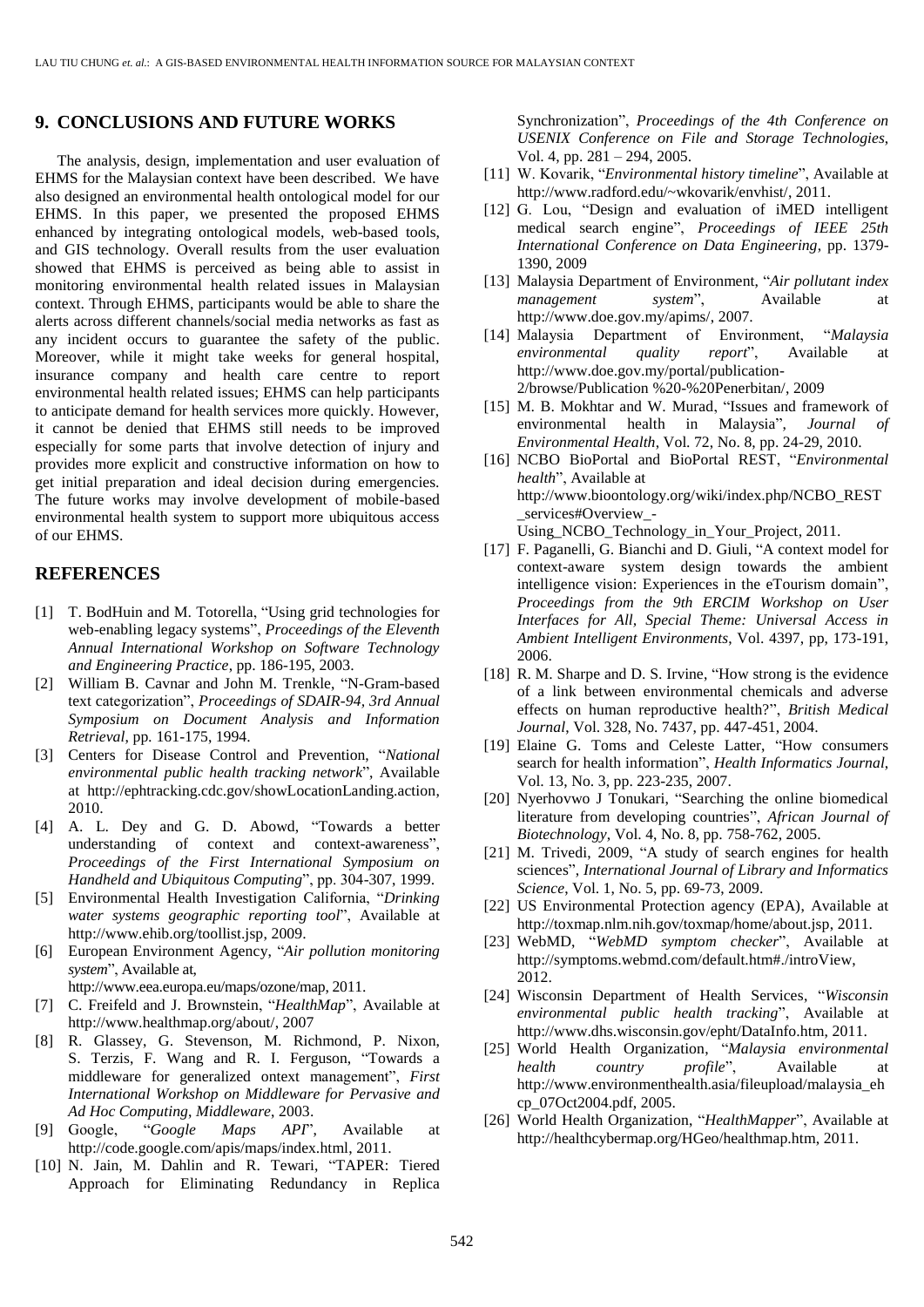#### **9. CONCLUSIONS AND FUTURE WORKS**

The analysis, design, implementation and user evaluation of EHMS for the Malaysian context have been described. We have also designed an environmental health ontological model for our EHMS. In this paper, we presented the proposed EHMS enhanced by integrating ontological models, web-based tools, and GIS technology. Overall results from the user evaluation showed that EHMS is perceived as being able to assist in monitoring environmental health related issues in Malaysian context. Through EHMS, participants would be able to share the alerts across different channels/social media networks as fast as any incident occurs to guarantee the safety of the public. Moreover, while it might take weeks for general hospital, insurance company and health care centre to report environmental health related issues; EHMS can help participants to anticipate demand for health services more quickly. However, it cannot be denied that EHMS still needs to be improved especially for some parts that involve detection of injury and provides more explicit and constructive information on how to get initial preparation and ideal decision during emergencies. The future works may involve development of mobile-based environmental health system to support more ubiquitous access of our EHMS.

#### **REFERENCES**

- <span id="page-8-23"></span>[1] T. BodHuin and M. Totorella, "Using grid technologies for web-enabling legacy systems", *Proceedings of the Eleventh Annual International Workshop on Software Technology and Engineering Practice*, pp. 186-195, 2003.
- <span id="page-8-24"></span>[2] William B. Cavnar and John M. Trenkle, "N-Gram-based text categorization", *Proceedings of SDAIR-94, 3rd Annual Symposium on Document Analysis and Information Retrieval*, pp*.* 161-175, 1994.
- <span id="page-8-8"></span>[3] Centers for Disease Control and Prevention, "*National environmental public health tracking network*", Available at http://ephtracking.cdc.gov/showLocationLanding.action, 2010.
- <span id="page-8-17"></span>[4] A. L. Dey and G. D. Abowd, "Towards a better understanding of context and context-awareness", *Proceedings of the First International Symposium on Handheld and Ubiquitous Computing*", pp. 304-307, 1999.
- <span id="page-8-2"></span>[5] Environmental Health Investigation California, "*Drinking water systems geographic reporting tool*", Available at http://www.ehib.org/toollist.jsp, 2009.
- <span id="page-8-11"></span>[6] European Environment Agency, "*Air pollution monitoring system*", Available at,

http://www.eea.europa.eu/maps/ozone/map, 2011.

- <span id="page-8-12"></span>[7] C. Freifeld and J. Brownstein, "*HealthMap*", Available at http://www.healthmap.org/about/, 2007
- <span id="page-8-18"></span>[8] R. Glassey, G. Stevenson, M. Richmond, P. Nixon, S. Terzis, F. Wang and R. I. Ferguson, "Towards a middleware for generalized ontext management", *First International Workshop on Middleware for Pervasive and Ad Hoc Computing*, *Middleware*, 2003.
- <span id="page-8-21"></span>[9] Google, "*Google Maps API*", Available at http://code.google.com/apis/maps/index.html, 2011.
- <span id="page-8-22"></span>[10] N. Jain, M. Dahlin and R. Tewari, "TAPER: Tiered Approach for Eliminating Redundancy in Replica

Synchronization", *Proceedings of the 4th Conference on USENIX Conference on File and Storage Technologies*, Vol. 4, pp. 281 – 294, 2005.

- <span id="page-8-3"></span>[11] W. Kovarik, "*Environmental history timeline*", Available at http://www.radford.edu/~wkovarik/envhist/, 2011.
- <span id="page-8-15"></span>[12] G. Lou, "Design and evaluation of iMED intelligent medical search engine", *Proceedings of IEEE 25th International Conference on Data Engineering*, pp. 1379- 1390, 2009
- <span id="page-8-7"></span>[13] Malaysia Department of Environment, "*Air pollutant index management system*", Available at http://www.doe.gov.my/apims/, 2007.
- <span id="page-8-5"></span>[14] Malaysia Department of Environment, "*Malaysia environmental quality report*", Available at http://www.doe.gov.my/portal/publication-2/browse/Publication %20-%20Penerbitan/, 2009
- <span id="page-8-0"></span>[15] M. B. Mokhtar and W. Murad, "Issues and framework of environmental health in Malaysia", *Journal of Environmental Health*, Vol. 72, No. 8, pp. 24-29, 2010.
- <span id="page-8-19"></span>[16] NCBO BioPortal and BioPortal REST, "*Environmental health*", Available at http://www.bioontology.org/wiki/index.php/NCBO\_REST \_services#Overview\_-
- Using\_NCBO\_Technology\_in\_Your\_Project, 2011.
- <span id="page-8-16"></span>[17] F. Paganelli, G. Bianchi and D. Giuli, "A context model for context-aware system design towards the ambient intelligence vision: Experiences in the eTourism domain", *Proceedings from the 9th ERCIM Workshop on User Interfaces for All, Special Theme: Universal Access in Ambient Intelligent Environments*, Vol. 4397, pp, 173-191, 2006.
- <span id="page-8-6"></span>[18] R. M. Sharpe and D. S. Irvine, "How strong is the evidence" of a link between environmental chemicals and adverse effects on human reproductive health?", *British Medical Journal*, Vol. 328, No. 7437, pp. 447-451, 2004.
- <span id="page-8-13"></span>[19] Elaine G. Toms and Celeste Latter, "How consumers search for health information", *Health Informatics Journal*, Vol. 13, No. 3, pp. 223-235, 2007.
- <span id="page-8-14"></span>[20] Nyerhovwo J Tonukari, "Searching the online biomedical literature from developing countries", *African Journal of Biotechnology*, Vol. 4, No. 8, pp. 758-762, 2005.
- [21] M. Trivedi, 2009, "A study of search engines for health sciences", *International Journal of Library and Informatics Science*, Vol. 1, No. 5, pp. 69-73, 2009.
- <span id="page-8-10"></span>[22] US Environmental Protection agency (EPA), Available at http://toxmap.nlm.nih.gov/toxmap/home/about.jsp, 2011.
- <span id="page-8-25"></span>[23] WebMD, "*WebMD symptom checker*", Available at http://symptoms.webmd.com/default.htm#./introView, 2012.
- <span id="page-8-20"></span>[24] Wisconsin Department of Health Services, "*Wisconsin environmental public health tracking*", Available at http://www.dhs.wisconsin.gov/epht/DataInfo.htm, 2011.
- <span id="page-8-4"></span>[25] World Health Organization, "*Malaysia environmental health country profile*", Available at http://www.environmenthealth.asia/fileupload/malaysia\_eh cp\_07Oct2004.pdf, 2005.
- <span id="page-8-9"></span><span id="page-8-1"></span>[26] World Health Organization, "*HealthMapper*", Available at http://healthcybermap.org/HGeo/healthmap.htm, 2011.